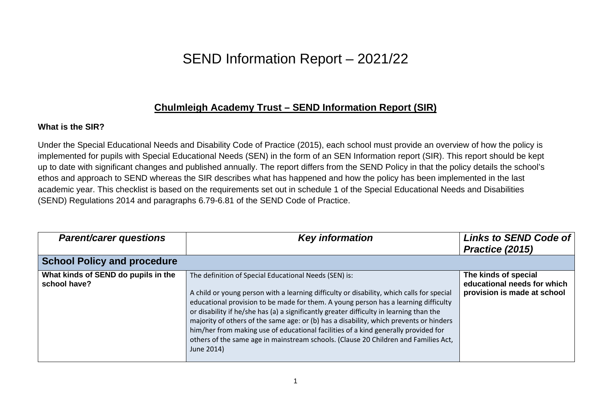## SEND Information Report – 2021/22

## **Chulmleigh Academy Trust – SEND Information Report (SIR)**

## **What is the SIR?**

Under the Special Educational Needs and Disability Code of Practice (2015), each school must provide an overview of how the policy is implemented for pupils with Special Educational Needs (SEN) in the form of an SEN Information report (SIR). This report should be kept up to date with significant changes and published annually. The report differs from the SEND Policy in that the policy details the school's ethos and approach to SEND whereas the SIR describes what has happened and how the policy has been implemented in the last academic year. This checklist is based on the requirements set out in schedule 1 of the Special Educational Needs and Disabilities (SEND) Regulations 2014 and paragraphs 6.79-6.81 of the SEND Code of Practice.

| <b>Parent/carer questions</b>                       | <b>Key information</b>                                                                                                                                                                                                                                                                                                                                                                                                                                                                                                                                                                                                    | Links to SEND Code of<br>Practice (2015)                                           |
|-----------------------------------------------------|---------------------------------------------------------------------------------------------------------------------------------------------------------------------------------------------------------------------------------------------------------------------------------------------------------------------------------------------------------------------------------------------------------------------------------------------------------------------------------------------------------------------------------------------------------------------------------------------------------------------------|------------------------------------------------------------------------------------|
| <b>School Policy and procedure</b>                  |                                                                                                                                                                                                                                                                                                                                                                                                                                                                                                                                                                                                                           |                                                                                    |
| What kinds of SEND do pupils in the<br>school have? | The definition of Special Educational Needs (SEN) is:<br>A child or young person with a learning difficulty or disability, which calls for special<br>educational provision to be made for them. A young person has a learning difficulty<br>or disability if he/she has (a) a significantly greater difficulty in learning than the<br>majority of others of the same age: or (b) has a disability, which prevents or hinders<br>him/her from making use of educational facilities of a kind generally provided for<br>others of the same age in mainstream schools. (Clause 20 Children and Families Act,<br>June 2014) | The kinds of special<br>educational needs for which<br>provision is made at school |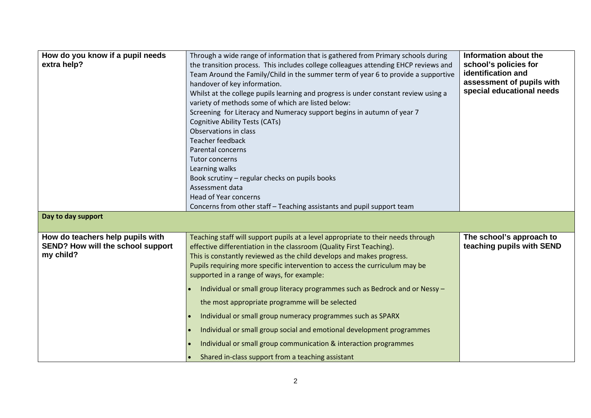| How do you know if a pupil needs<br>extra help?<br>Day to day support              | Through a wide range of information that is gathered from Primary schools during<br>the transition process. This includes college colleagues attending EHCP reviews and<br>Team Around the Family/Child in the summer term of year 6 to provide a supportive<br>handover of key information.<br>Whilst at the college pupils learning and progress is under constant review using a<br>variety of methods some of which are listed below:<br>Screening for Literacy and Numeracy support begins in autumn of year 7<br><b>Cognitive Ability Tests (CATs)</b><br>Observations in class<br>Teacher feedback<br>Parental concerns<br>Tutor concerns<br>Learning walks<br>Book scrutiny - regular checks on pupils books<br>Assessment data<br><b>Head of Year concerns</b><br>Concerns from other staff - Teaching assistants and pupil support team | Information about the<br>school's policies for<br>identification and<br>assessment of pupils with<br>special educational needs |
|------------------------------------------------------------------------------------|---------------------------------------------------------------------------------------------------------------------------------------------------------------------------------------------------------------------------------------------------------------------------------------------------------------------------------------------------------------------------------------------------------------------------------------------------------------------------------------------------------------------------------------------------------------------------------------------------------------------------------------------------------------------------------------------------------------------------------------------------------------------------------------------------------------------------------------------------|--------------------------------------------------------------------------------------------------------------------------------|
| How do teachers help pupils with<br>SEND? How will the school support<br>my child? | Teaching staff will support pupils at a level appropriate to their needs through<br>effective differentiation in the classroom (Quality First Teaching).<br>This is constantly reviewed as the child develops and makes progress.<br>Pupils requiring more specific intervention to access the curriculum may be<br>supported in a range of ways, for example:<br>Individual or small group literacy programmes such as Bedrock and or Nessy -<br>the most appropriate programme will be selected<br>Individual or small group numeracy programmes such as SPARX<br>Individual or small group social and emotional development programmes<br>Individual or small group communication & interaction programmes<br>Shared in-class support from a teaching assistant                                                                                | The school's approach to<br>teaching pupils with SEND                                                                          |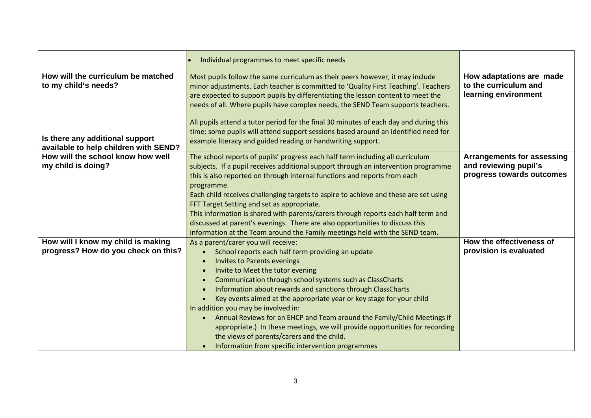|                                                                                                                                        | Individual programmes to meet specific needs                                                                                                                                                                                                                                                                                                                                                                                                                                                                                                                                                                                                                               |                                                                                         |
|----------------------------------------------------------------------------------------------------------------------------------------|----------------------------------------------------------------------------------------------------------------------------------------------------------------------------------------------------------------------------------------------------------------------------------------------------------------------------------------------------------------------------------------------------------------------------------------------------------------------------------------------------------------------------------------------------------------------------------------------------------------------------------------------------------------------------|-----------------------------------------------------------------------------------------|
| How will the curriculum be matched<br>to my child's needs?<br>Is there any additional support<br>available to help children with SEND? | Most pupils follow the same curriculum as their peers however, it may include<br>minor adjustments. Each teacher is committed to 'Quality First Teaching'. Teachers<br>are expected to support pupils by differentiating the lesson content to meet the<br>needs of all. Where pupils have complex needs, the SEND Team supports teachers.<br>All pupils attend a tutor period for the final 30 minutes of each day and during this<br>time; some pupils will attend support sessions based around an identified need for<br>example literacy and guided reading or handwriting support.                                                                                   | How adaptations are made<br>to the curriculum and<br>learning environment               |
| How will the school know how well<br>my child is doing?                                                                                | The school reports of pupils' progress each half term including all curriculum<br>subjects. If a pupil receives additional support through an intervention programme<br>this is also reported on through internal functions and reports from each<br>programme.<br>Each child receives challenging targets to aspire to achieve and these are set using<br>FFT Target Setting and set as appropriate.<br>This information is shared with parents/carers through reports each half term and<br>discussed at parent's evenings. There are also opportunities to discuss this<br>information at the Team around the Family meetings held with the SEND team.                  | <b>Arrangements for assessing</b><br>and reviewing pupil's<br>progress towards outcomes |
| How will I know my child is making<br>progress? How do you check on this?                                                              | As a parent/carer you will receive:<br>School reports each half term providing an update<br><b>Invites to Parents evenings</b><br>Invite to Meet the tutor evening<br>Communication through school systems such as ClassCharts<br>Information about rewards and sanctions through ClassCharts<br>Key events aimed at the appropriate year or key stage for your child<br>In addition you may be involved in:<br>Annual Reviews for an EHCP and Team around the Family/Child Meetings if<br>appropriate.) In these meetings, we will provide opportunities for recording<br>the views of parents/carers and the child.<br>Information from specific intervention programmes | How the effectiveness of<br>provision is evaluated                                      |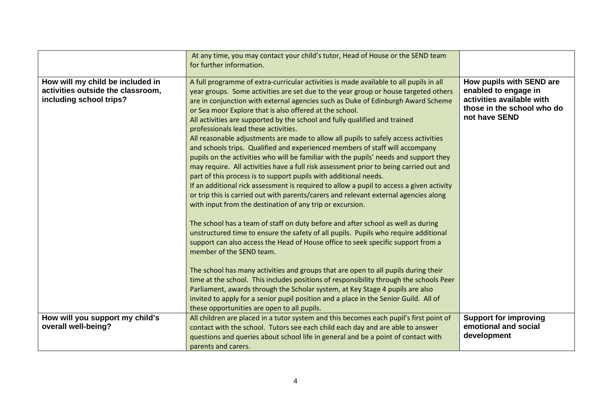|                                                                                                  | At any time, you may contact your child's tutor, Head of House or the SEND team<br>for further information.                                                                                                                                                                                                                                                                                                                                                                                                                                                                                                                                                                                                                                                                                                                                                                                                                                                                                                                                                                                                                                                                                                                                                                                                                                                                                                                                                                                                                                                                                                                                                                                   |                                                                                                                              |
|--------------------------------------------------------------------------------------------------|-----------------------------------------------------------------------------------------------------------------------------------------------------------------------------------------------------------------------------------------------------------------------------------------------------------------------------------------------------------------------------------------------------------------------------------------------------------------------------------------------------------------------------------------------------------------------------------------------------------------------------------------------------------------------------------------------------------------------------------------------------------------------------------------------------------------------------------------------------------------------------------------------------------------------------------------------------------------------------------------------------------------------------------------------------------------------------------------------------------------------------------------------------------------------------------------------------------------------------------------------------------------------------------------------------------------------------------------------------------------------------------------------------------------------------------------------------------------------------------------------------------------------------------------------------------------------------------------------------------------------------------------------------------------------------------------------|------------------------------------------------------------------------------------------------------------------------------|
| How will my child be included in<br>activities outside the classroom,<br>including school trips? | A full programme of extra-curricular activities is made available to all pupils in all<br>year groups. Some activities are set due to the year group or house targeted others<br>are in conjunction with external agencies such as Duke of Edinburgh Award Scheme<br>or Sea moor Explore that is also offered at the school.<br>All activities are supported by the school and fully qualified and trained<br>professionals lead these activities.<br>All reasonable adjustments are made to allow all pupils to safely access activities<br>and schools trips. Qualified and experienced members of staff will accompany<br>pupils on the activities who will be familiar with the pupils' needs and support they<br>may require. All activities have a full risk assessment prior to being carried out and<br>part of this process is to support pupils with additional needs.<br>If an additional rick assessment is required to allow a pupil to access a given activity<br>or trip this is carried out with parents/carers and relevant external agencies along<br>with input from the destination of any trip or excursion.<br>The school has a team of staff on duty before and after school as well as during<br>unstructured time to ensure the safety of all pupils. Pupils who require additional<br>support can also access the Head of House office to seek specific support from a<br>member of the SEND team.<br>The school has many activities and groups that are open to all pupils during their<br>time at the school. This includes positions of responsibility through the schools Peer<br>Parliament, awards through the Scholar system, at Key Stage 4 pupils are also | How pupils with SEND are<br>enabled to engage in<br>activities available with<br>those in the school who do<br>not have SEND |
|                                                                                                  | invited to apply for a senior pupil position and a place in the Senior Guild. All of<br>these opportunities are open to all pupils.                                                                                                                                                                                                                                                                                                                                                                                                                                                                                                                                                                                                                                                                                                                                                                                                                                                                                                                                                                                                                                                                                                                                                                                                                                                                                                                                                                                                                                                                                                                                                           |                                                                                                                              |
| How will you support my child's<br>overall well-being?                                           | All children are placed in a tutor system and this becomes each pupil's first point of<br>contact with the school. Tutors see each child each day and are able to answer<br>questions and queries about school life in general and be a point of contact with<br>parents and carers.                                                                                                                                                                                                                                                                                                                                                                                                                                                                                                                                                                                                                                                                                                                                                                                                                                                                                                                                                                                                                                                                                                                                                                                                                                                                                                                                                                                                          | <b>Support for improving</b><br>emotional and social<br>development                                                          |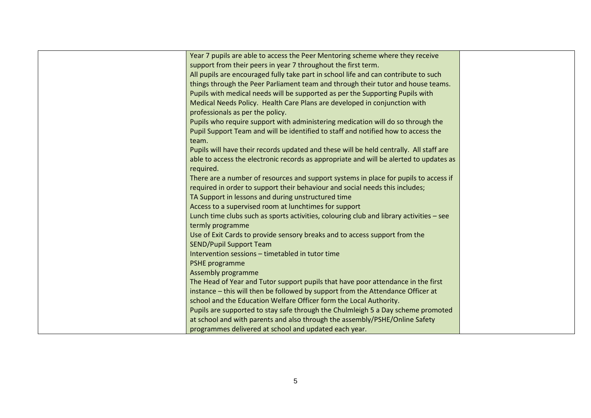| Year 7 pupils are able to access the Peer Mentoring scheme where they receive           |
|-----------------------------------------------------------------------------------------|
| support from their peers in year 7 throughout the first term.                           |
| All pupils are encouraged fully take part in school life and can contribute to such     |
| things through the Peer Parliament team and through their tutor and house teams.        |
| Pupils with medical needs will be supported as per the Supporting Pupils with           |
| Medical Needs Policy. Health Care Plans are developed in conjunction with               |
| professionals as per the policy.                                                        |
| Pupils who require support with administering medication will do so through the         |
| Pupil Support Team and will be identified to staff and notified how to access the       |
| team.                                                                                   |
| Pupils will have their records updated and these will be held centrally. All staff are  |
| able to access the electronic records as appropriate and will be alerted to updates as  |
| required.                                                                               |
| There are a number of resources and support systems in place for pupils to access if    |
| required in order to support their behaviour and social needs this includes;            |
| TA Support in lessons and during unstructured time                                      |
| Access to a supervised room at lunchtimes for support                                   |
| Lunch time clubs such as sports activities, colouring club and library activities - see |
| termly programme                                                                        |
| Use of Exit Cards to provide sensory breaks and to access support from the              |
| <b>SEND/Pupil Support Team</b>                                                          |
| Intervention sessions - timetabled in tutor time                                        |
| PSHE programme                                                                          |
| Assembly programme                                                                      |
| The Head of Year and Tutor support pupils that have poor attendance in the first        |
| instance - this will then be followed by support from the Attendance Officer at         |
| school and the Education Welfare Officer form the Local Authority.                      |
| Pupils are supported to stay safe through the Chulmleigh 5 a Day scheme promoted        |
| at school and with parents and also through the assembly/PSHE/Online Safety             |
| programmes delivered at school and updated each year.                                   |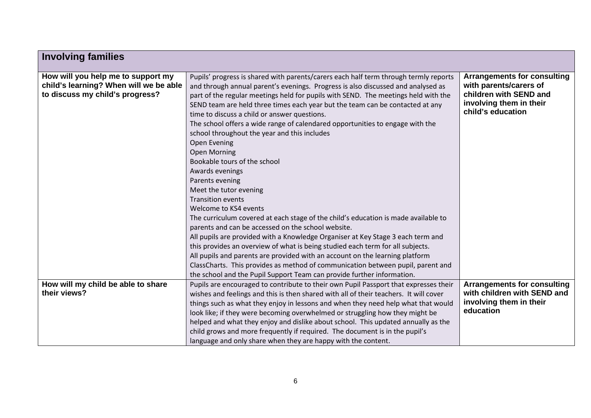| <b>Involving families</b>                                                                                       |                                                                                                                                                                                                                                                                                                                                                                                                                                                                                                                                                                                                                                               |                                                                                                                                        |
|-----------------------------------------------------------------------------------------------------------------|-----------------------------------------------------------------------------------------------------------------------------------------------------------------------------------------------------------------------------------------------------------------------------------------------------------------------------------------------------------------------------------------------------------------------------------------------------------------------------------------------------------------------------------------------------------------------------------------------------------------------------------------------|----------------------------------------------------------------------------------------------------------------------------------------|
| How will you help me to support my<br>child's learning? When will we be able<br>to discuss my child's progress? | Pupils' progress is shared with parents/carers each half term through termly reports<br>and through annual parent's evenings. Progress is also discussed and analysed as<br>part of the regular meetings held for pupils with SEND. The meetings held with the<br>SEND team are held three times each year but the team can be contacted at any<br>time to discuss a child or answer questions.<br>The school offers a wide range of calendared opportunities to engage with the<br>school throughout the year and this includes<br>Open Evening<br><b>Open Morning</b><br>Bookable tours of the school<br>Awards evenings<br>Parents evening | <b>Arrangements for consulting</b><br>with parents/carers of<br>children with SEND and<br>involving them in their<br>child's education |
|                                                                                                                 | Meet the tutor evening<br><b>Transition events</b><br>Welcome to KS4 events<br>The curriculum covered at each stage of the child's education is made available to<br>parents and can be accessed on the school website.<br>All pupils are provided with a Knowledge Organiser at Key Stage 3 each term and<br>this provides an overview of what is being studied each term for all subjects.<br>All pupils and parents are provided with an account on the learning platform<br>ClassCharts. This provides as method of communication between pupil, parent and<br>the school and the Pupil Support Team can provide further information.     |                                                                                                                                        |
| How will my child be able to share<br>their views?                                                              | Pupils are encouraged to contribute to their own Pupil Passport that expresses their<br>wishes and feelings and this is then shared with all of their teachers. It will cover<br>things such as what they enjoy in lessons and when they need help what that would<br>look like; if they were becoming overwhelmed or struggling how they might be<br>helped and what they enjoy and dislike about school. This updated annually as the<br>child grows and more frequently if required. The document is in the pupil's<br>language and only share when they are happy with the content.                                                       | <b>Arrangements for consulting</b><br>with children with SEND and<br>involving them in their<br>education                              |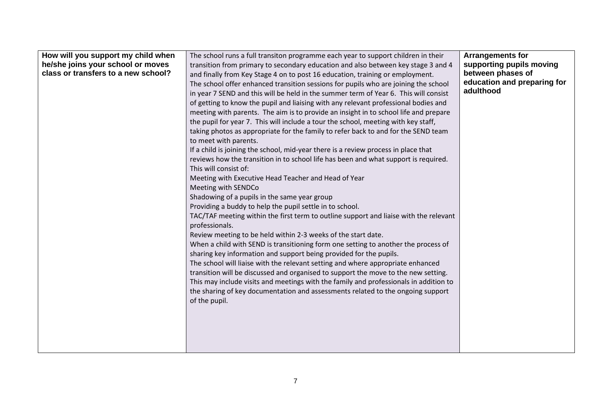| How will you support my child when  | The school runs a full transiton programme each year to support children in their     | <b>Arrangements for</b>     |
|-------------------------------------|---------------------------------------------------------------------------------------|-----------------------------|
| he/she joins your school or moves   | transition from primary to secondary education and also between key stage 3 and 4     | supporting pupils moving    |
| class or transfers to a new school? | and finally from Key Stage 4 on to post 16 education, training or employment.         | between phases of           |
|                                     | The school offer enhanced transition sessions for pupils who are joining the school   | education and preparing for |
|                                     | in year 7 SEND and this will be held in the summer term of Year 6. This will consist  | adulthood                   |
|                                     | of getting to know the pupil and liaising with any relevant professional bodies and   |                             |
|                                     | meeting with parents. The aim is to provide an insight in to school life and prepare  |                             |
|                                     | the pupil for year 7. This will include a tour the school, meeting with key staff,    |                             |
|                                     | taking photos as appropriate for the family to refer back to and for the SEND team    |                             |
|                                     | to meet with parents.                                                                 |                             |
|                                     | If a child is joining the school, mid-year there is a review process in place that    |                             |
|                                     | reviews how the transition in to school life has been and what support is required.   |                             |
|                                     | This will consist of:                                                                 |                             |
|                                     | Meeting with Executive Head Teacher and Head of Year                                  |                             |
|                                     | Meeting with SENDCo                                                                   |                             |
|                                     | Shadowing of a pupils in the same year group                                          |                             |
|                                     | Providing a buddy to help the pupil settle in to school.                              |                             |
|                                     | TAC/TAF meeting within the first term to outline support and liaise with the relevant |                             |
|                                     | professionals.                                                                        |                             |
|                                     | Review meeting to be held within 2-3 weeks of the start date.                         |                             |
|                                     | When a child with SEND is transitioning form one setting to another the process of    |                             |
|                                     | sharing key information and support being provided for the pupils.                    |                             |
|                                     | The school will liaise with the relevant setting and where appropriate enhanced       |                             |
|                                     | transition will be discussed and organised to support the move to the new setting.    |                             |
|                                     | This may include visits and meetings with the family and professionals in addition to |                             |
|                                     | the sharing of key documentation and assessments related to the ongoing support       |                             |
|                                     | of the pupil.                                                                         |                             |
|                                     |                                                                                       |                             |
|                                     |                                                                                       |                             |
|                                     |                                                                                       |                             |
|                                     |                                                                                       |                             |
|                                     |                                                                                       |                             |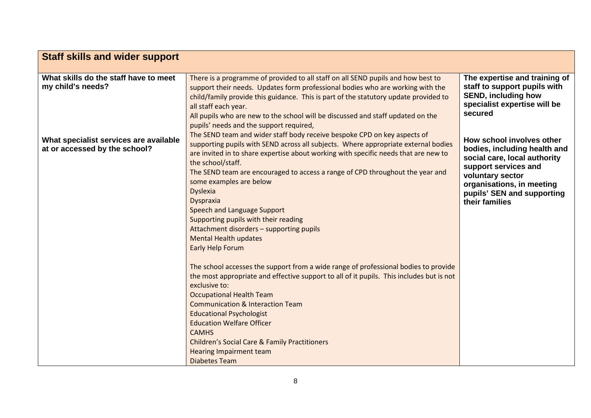| <b>Staff skills and wider support</b>                                   |                                                                                                                                                                                                                                                                                                            |                                                                                                                                                                    |
|-------------------------------------------------------------------------|------------------------------------------------------------------------------------------------------------------------------------------------------------------------------------------------------------------------------------------------------------------------------------------------------------|--------------------------------------------------------------------------------------------------------------------------------------------------------------------|
|                                                                         |                                                                                                                                                                                                                                                                                                            |                                                                                                                                                                    |
| What skills do the staff have to meet<br>my child's needs?              | There is a programme of provided to all staff on all SEND pupils and how best to<br>support their needs. Updates form professional bodies who are working with the<br>child/family provide this guidance. This is part of the statutory update provided to<br>all staff each year.                         | The expertise and training of<br>staff to support pupils with<br><b>SEND, including how</b><br>specialist expertise will be                                        |
|                                                                         | All pupils who are new to the school will be discussed and staff updated on the<br>pupils' needs and the support required,<br>The SEND team and wider staff body receive bespoke CPD on key aspects of                                                                                                     | secured                                                                                                                                                            |
| What specialist services are available<br>at or accessed by the school? | supporting pupils with SEND across all subjects. Where appropriate external bodies<br>are invited in to share expertise about working with specific needs that are new to<br>the school/staff.<br>The SEND team are encouraged to access a range of CPD throughout the year and<br>some examples are below | How school involves other<br>bodies, including health and<br>social care, local authority<br>support services and<br>voluntary sector<br>organisations, in meeting |
|                                                                         | <b>Dyslexia</b><br>Dyspraxia<br>Speech and Language Support<br>Supporting pupils with their reading<br>Attachment disorders - supporting pupils<br><b>Mental Health updates</b>                                                                                                                            | pupils' SEN and supporting<br>their families                                                                                                                       |
|                                                                         | Early Help Forum<br>The school accesses the support from a wide range of professional bodies to provide                                                                                                                                                                                                    |                                                                                                                                                                    |
|                                                                         | the most appropriate and effective support to all of it pupils. This includes but is not<br>exclusive to:<br><b>Occupational Health Team</b><br><b>Communication &amp; Interaction Team</b>                                                                                                                |                                                                                                                                                                    |
|                                                                         | <b>Educational Psychologist</b><br><b>Education Welfare Officer</b><br><b>CAMHS</b>                                                                                                                                                                                                                        |                                                                                                                                                                    |
|                                                                         | <b>Children's Social Care &amp; Family Practitioners</b><br><b>Hearing Impairment team</b><br><b>Diabetes Team</b>                                                                                                                                                                                         |                                                                                                                                                                    |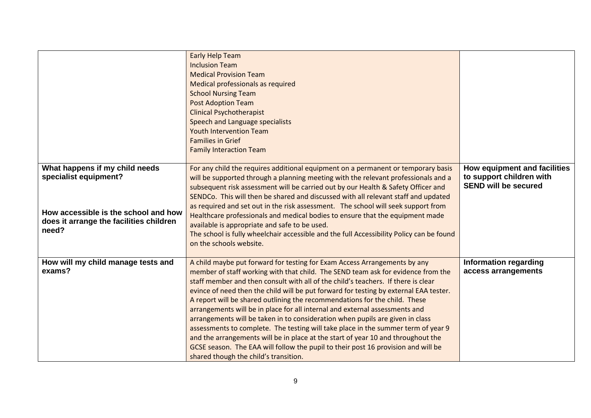|                                                                                                                                                     | <b>Early Help Team</b><br><b>Inclusion Team</b><br><b>Medical Provision Team</b><br>Medical professionals as required<br><b>School Nursing Team</b><br><b>Post Adoption Team</b><br><b>Clinical Psychotherapist</b><br>Speech and Language specialists<br><b>Youth Intervention Team</b><br><b>Families in Grief</b><br><b>Family Interaction Team</b>                                                                                                                                                                                                                                                                                                                                                                                                                                                                                                                                           |                                                                                         |
|-----------------------------------------------------------------------------------------------------------------------------------------------------|--------------------------------------------------------------------------------------------------------------------------------------------------------------------------------------------------------------------------------------------------------------------------------------------------------------------------------------------------------------------------------------------------------------------------------------------------------------------------------------------------------------------------------------------------------------------------------------------------------------------------------------------------------------------------------------------------------------------------------------------------------------------------------------------------------------------------------------------------------------------------------------------------|-----------------------------------------------------------------------------------------|
| What happens if my child needs<br>specialist equipment?<br>How accessible is the school and how<br>does it arrange the facilities children<br>need? | For any child the requires additional equipment on a permanent or temporary basis<br>will be supported through a planning meeting with the relevant professionals and a<br>subsequent risk assessment will be carried out by our Health & Safety Officer and<br>SENDCo. This will then be shared and discussed with all relevant staff and updated<br>as required and set out in the risk assessment. The school will seek support from<br>Healthcare professionals and medical bodies to ensure that the equipment made<br>available is appropriate and safe to be used.<br>The school is fully wheelchair accessible and the full Accessibility Policy can be found<br>on the schools website.                                                                                                                                                                                                 | How equipment and facilities<br>to support children with<br><b>SEND will be secured</b> |
| How will my child manage tests and<br>exams?                                                                                                        | A child maybe put forward for testing for Exam Access Arrangements by any<br>member of staff working with that child. The SEND team ask for evidence from the<br>staff member and then consult with all of the child's teachers. If there is clear<br>evince of need then the child will be put forward for testing by external EAA tester.<br>A report will be shared outlining the recommendations for the child. These<br>arrangements will be in place for all internal and external assessments and<br>arrangements will be taken in to consideration when pupils are given in class<br>assessments to complete. The testing will take place in the summer term of year 9<br>and the arrangements will be in place at the start of year 10 and throughout the<br>GCSE season. The EAA will follow the pupil to their post 16 provision and will be<br>shared though the child's transition. | <b>Information regarding</b><br>access arrangements                                     |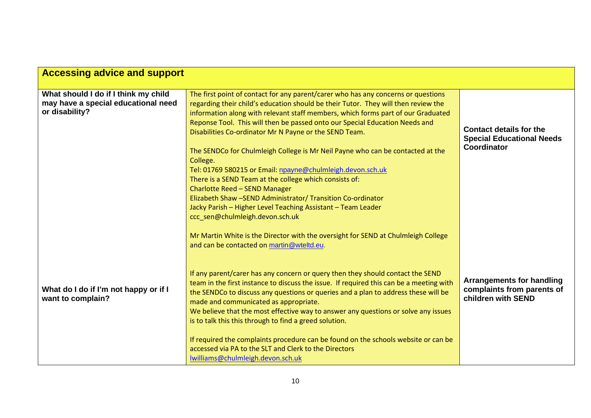| <b>Accessing advice and support</b>                                                           |                                                                                                                                                                                                                                                                                                                                                                                                                                                                                                                                                                                                                                                                                                                                                                                                                               |                                                                                      |
|-----------------------------------------------------------------------------------------------|-------------------------------------------------------------------------------------------------------------------------------------------------------------------------------------------------------------------------------------------------------------------------------------------------------------------------------------------------------------------------------------------------------------------------------------------------------------------------------------------------------------------------------------------------------------------------------------------------------------------------------------------------------------------------------------------------------------------------------------------------------------------------------------------------------------------------------|--------------------------------------------------------------------------------------|
| What should I do if I think my child<br>may have a special educational need<br>or disability? | The first point of contact for any parent/carer who has any concerns or questions<br>regarding their child's education should be their Tutor. They will then review the<br>information along with relevant staff members, which forms part of our Graduated<br>Reponse Tool. This will then be passed onto our Special Education Needs and<br>Disabilities Co-ordinator Mr N Payne or the SEND Team.<br>The SENDCo for Chulmleigh College is Mr Neil Payne who can be contacted at the<br>College.<br>Tel: 01769 580215 or Email: npayne@chulmleigh.devon.sch.uk<br>There is a SEND Team at the college which consists of:<br>Charlotte Reed - SEND Manager<br>Elizabeth Shaw -SEND Administrator/ Transition Co-ordinator<br>Jacky Parish - Higher Level Teaching Assistant - Team Leader<br>ccc_sen@chulmleigh.devon.sch.uk | <b>Contact details for the</b><br><b>Special Educational Needs</b><br>Coordinator    |
| What do I do if I'm not happy or if I<br>want to complain?                                    | Mr Martin White is the Director with the oversight for SEND at Chulmleigh College<br>and can be contacted on martin@wteltd.eu.<br>If any parent/carer has any concern or query then they should contact the SEND<br>team in the first instance to discuss the issue. If required this can be a meeting with<br>the SENDCo to discuss any questions or queries and a plan to address these will be<br>made and communicated as appropriate.<br>We believe that the most effective way to answer any questions or solve any issues<br>is to talk this this through to find a greed solution.<br>If required the complaints procedure can be found on the schools website or can be<br>accessed via PA to the SLT and Clerk to the Directors<br>lwilliams@chulmleigh.devon.sch.uk                                                | <b>Arrangements for handling</b><br>complaints from parents of<br>children with SEND |